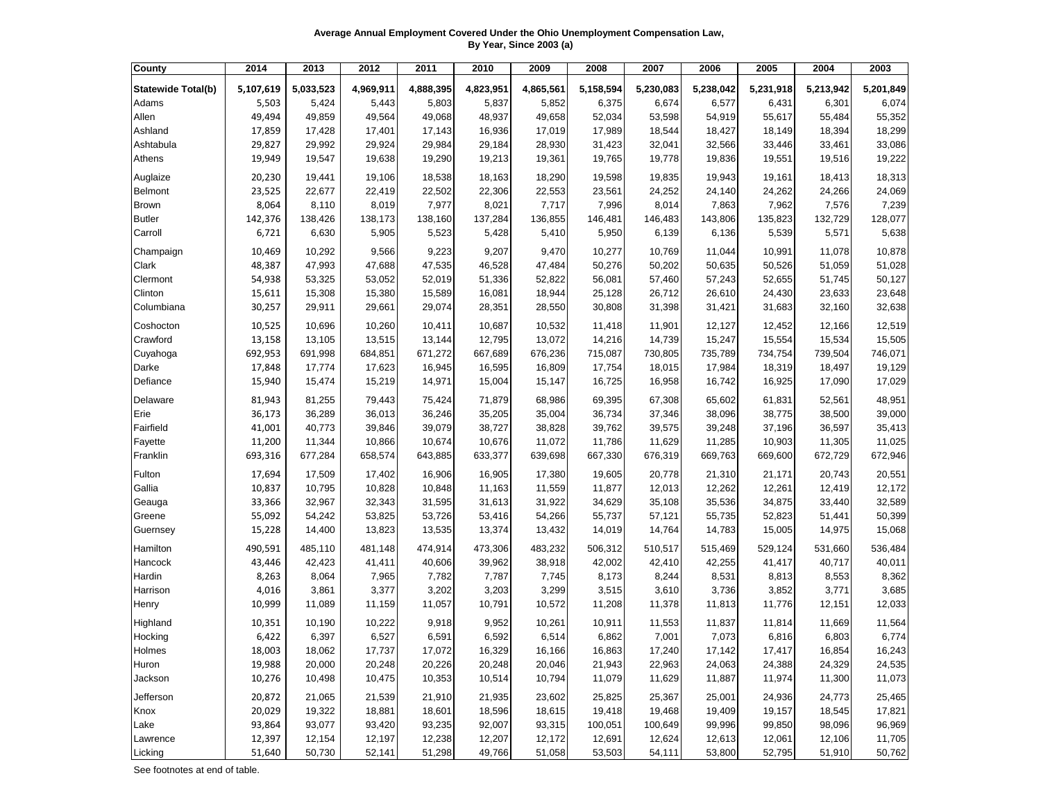**Average Annual Employment Covered Under the Ohio Unemployment Compensation Law, By Year, Since 2003 (a)**

| County                     | 2014      | 2013      | 2012      | 2011      | 2010      | 2009      | 2008      | 2007      | 2006      | 2005      | 2004      | 2003      |
|----------------------------|-----------|-----------|-----------|-----------|-----------|-----------|-----------|-----------|-----------|-----------|-----------|-----------|
| <b>Statewide Total(b)</b>  | 5,107,619 | 5,033,523 | 4,969,911 | 4,888,395 | 4,823,951 | 4,865,561 | 5,158,594 | 5,230,083 | 5,238,042 | 5,231,918 | 5,213,942 | 5,201,849 |
| Adams                      | 5,503     | 5,424     | 5,443     | 5,803     | 5,837     | 5,852     | 6,375     | 6,674     | 6,577     | 6,431     | 6,301     | 6,074     |
| Allen                      | 49,494    | 49,859    | 49,564    | 49,068    | 48,937    | 49,658    | 52,034    | 53,598    | 54,919    | 55,617    | 55,484    | 55,352    |
| Ashland                    | 17,859    | 17,428    | 17,401    | 17,143    | 16,936    | 17,019    | 17,989    | 18,544    | 18,427    | 18,149    | 18,394    | 18,299    |
| Ashtabula                  | 29,827    | 29,992    | 29,924    | 29,984    | 29,184    | 28,930    | 31,423    | 32,041    | 32,566    | 33,446    | 33,461    | 33,086    |
| Athens                     | 19,949    | 19,547    | 19,638    | 19,290    | 19,213    | 19,361    | 19,765    | 19,778    | 19,836    | 19,551    | 19,516    | 19,222    |
|                            | 20,230    | 19,441    | 19,106    | 18,538    | 18,163    | 18,290    | 19,598    | 19,835    | 19,943    | 19,161    | 18,413    | 18,313    |
| Auglaize<br><b>Belmont</b> | 23,525    | 22,677    | 22,419    | 22,502    | 22,306    | 22,553    | 23,561    | 24,252    | 24,140    | 24,262    | 24,266    | 24,069    |
| <b>Brown</b>               | 8,064     | 8,110     | 8,019     | 7,977     | 8,021     | 7,717     | 7,996     | 8,014     | 7,863     | 7,962     | 7,576     | 7,239     |
| <b>Butler</b>              | 142,376   | 138,426   | 138,173   | 138,160   | 137,284   | 136,855   | 146,481   | 146,483   | 143,806   | 135,823   | 132,729   | 128,077   |
| Carroll                    | 6,721     | 6,630     | 5,905     | 5,523     | 5,428     | 5,410     | 5,950     | 6,139     | 6,136     | 5,539     | 5,571     | 5,638     |
|                            |           |           |           |           |           |           |           |           |           |           |           |           |
| Champaign                  | 10,469    | 10,292    | 9,566     | 9,223     | 9,207     | 9,470     | 10,277    | 10,769    | 11,044    | 10,991    | 11,078    | 10,878    |
| Clark                      | 48,387    | 47,993    | 47,688    | 47,535    | 46,528    | 47,484    | 50,276    | 50,202    | 50,635    | 50,526    | 51,059    | 51,028    |
| Clermont                   | 54,938    | 53,325    | 53,052    | 52,019    | 51,336    | 52,822    | 56,081    | 57,460    | 57,243    | 52,655    | 51,745    | 50,127    |
| Clinton                    | 15,611    | 15,308    | 15,380    | 15,589    | 16,081    | 18,944    | 25,128    | 26,712    | 26,610    | 24,430    | 23,633    | 23,648    |
| Columbiana                 | 30,257    | 29,911    | 29,661    | 29,074    | 28,351    | 28,550    | 30,808    | 31,398    | 31,421    | 31,683    | 32,160    | 32,638    |
| Coshocton                  | 10,525    | 10,696    | 10,260    | 10,411    | 10,687    | 10,532    | 11,418    | 11,901    | 12,127    | 12,452    | 12,166    | 12,519    |
| Crawford                   | 13,158    | 13,105    | 13,515    | 13,144    | 12,795    | 13,072    | 14,216    | 14,739    | 15,247    | 15,554    | 15,534    | 15,505    |
| Cuyahoga                   | 692,953   | 691,998   | 684,851   | 671,272   | 667,689   | 676,236   | 715,087   | 730,805   | 735,789   | 734,754   | 739,504   | 746,071   |
| Darke                      | 17,848    | 17,774    | 17,623    | 16,945    | 16,595    | 16,809    | 17,754    | 18,015    | 17,984    | 18,319    | 18,497    | 19,129    |
| Defiance                   | 15,940    | 15,474    | 15,219    | 14,971    | 15,004    | 15,147    | 16,725    | 16,958    | 16,742    | 16,925    | 17,090    | 17,029    |
| Delaware                   | 81,943    | 81,255    | 79,443    | 75,424    | 71,879    | 68,986    | 69,395    | 67,308    | 65,602    | 61,831    | 52,561    | 48,951    |
| Erie                       | 36,173    | 36,289    | 36,013    | 36,246    | 35,205    | 35,004    | 36,734    | 37,346    | 38,096    | 38,775    | 38,500    | 39,000    |
| Fairfield                  | 41,001    | 40,773    | 39,846    | 39,079    | 38,727    | 38,828    | 39,762    | 39,575    | 39,248    | 37,196    | 36,597    | 35,413    |
| Fayette                    | 11,200    | 11,344    | 10,866    | 10,674    | 10,676    | 11,072    | 11,786    | 11,629    | 11,285    | 10,903    | 11,305    | 11,025    |
| Franklin                   | 693,316   | 677,284   | 658,574   | 643,885   | 633,377   | 639,698   | 667,330   | 676,319   | 669,763   | 669,600   | 672,729   | 672,946   |
| Fulton                     | 17,694    | 17,509    | 17,402    | 16,906    | 16,905    | 17,380    | 19,605    | 20,778    | 21,310    | 21,171    | 20,743    | 20,551    |
| Gallia                     | 10,837    | 10,795    | 10,828    | 10,848    | 11,163    | 11,559    | 11,877    | 12,013    | 12,262    | 12,261    | 12,419    | 12,172    |
| Geauga                     | 33,366    | 32,967    | 32,343    | 31,595    | 31,613    | 31,922    | 34,629    | 35,108    | 35,536    | 34,875    | 33,440    | 32,589    |
| Greene                     | 55,092    | 54,242    | 53,825    | 53,726    | 53,416    | 54,266    | 55,737    | 57,121    | 55,735    | 52,823    | 51,441    | 50,399    |
| Guernsey                   | 15,228    | 14,400    | 13,823    | 13,535    | 13,374    | 13,432    | 14,019    | 14,764    | 14,783    | 15,005    | 14,975    | 15,068    |
|                            |           |           |           |           |           |           |           |           |           |           |           |           |
| Hamilton                   | 490,591   | 485,110   | 481,148   | 474,914   | 473,306   | 483,232   | 506,312   | 510,517   | 515,469   | 529,124   | 531,660   | 536,484   |
| Hancock                    | 43,446    | 42,423    | 41,411    | 40,606    | 39,962    | 38,918    | 42,002    | 42,410    | 42,255    | 41,417    | 40,717    | 40,011    |
| Hardin                     | 8,263     | 8,064     | 7,965     | 7,782     | 7,787     | 7,745     | 8,173     | 8,244     | 8,531     | 8,813     | 8,553     | 8,362     |
| Harrison                   | 4,016     | 3,861     | 3,377     | 3,202     | 3,203     | 3,299     | 3,515     | 3,610     | 3,736     | 3,852     | 3,771     | 3,685     |
| Henry                      | 10,999    | 11,089    | 11,159    | 11,057    | 10,791    | 10,572    | 11,208    | 11,378    | 11,813    | 11,776    | 12,151    | 12,033    |
| Highland                   | 10,351    | 10,190    | 10,222    | 9,918     | 9,952     | 10,261    | 10,911    | 11,553    | 11,837    | 11,814    | 11,669    | 11,564    |
| Hocking                    | 6,422     | 6,397     | 6,527     | 6,591     | 6,592     | 6,514     | 6,862     | 7,001     | 7,073     | 6,816     | 6,803     | 6,774     |
| Holmes                     | 18,003    | 18,062    | 17,737    | 17,072    | 16,329    | 16,166    | 16,863    | 17,240    | 17,142    | 17,417    | 16,854    | 16,243    |
| Huron                      | 19,988    | 20,000    | 20,248    | 20,226    | 20,248    | 20,046    | 21,943    | 22,963    | 24,063    | 24,388    | 24,329    | 24,535    |
| Jackson                    | 10,276    | 10,498    | 10,475    | 10,353    | 10,514    | 10,794    | 11,079    | 11,629    | 11,887    | 11,974    | 11,300    | 11,073    |
| Jefferson                  | 20,872    | 21,065    | 21,539    | 21,910    | 21,935    | 23,602    | 25,825    | 25,367    | 25,001    | 24,936    | 24,773    | 25,465    |
| Knox                       | 20,029    | 19,322    | 18,881    | 18,601    | 18,596    | 18,615    | 19,418    | 19,468    | 19,409    | 19,157    | 18,545    | 17,821    |
| Lake                       | 93,864    | 93,077    | 93,420    | 93,235    | 92,007    | 93,315    | 100,051   | 100,649   | 99,996    | 99,850    | 98,096    | 96,969    |
| Lawrence                   | 12,397    | 12,154    | 12,197    | 12,238    | 12,207    | 12,172    | 12,691    | 12,624    | 12,613    | 12,061    | 12,106    | 11,705    |
| Licking                    | 51,640    | 50,730    | 52,141    | 51,298    | 49,766    | 51,058    | 53,503    | 54,111    | 53,800    | 52,795    | 51,910    | 50,762    |

See footnotes at end of table.